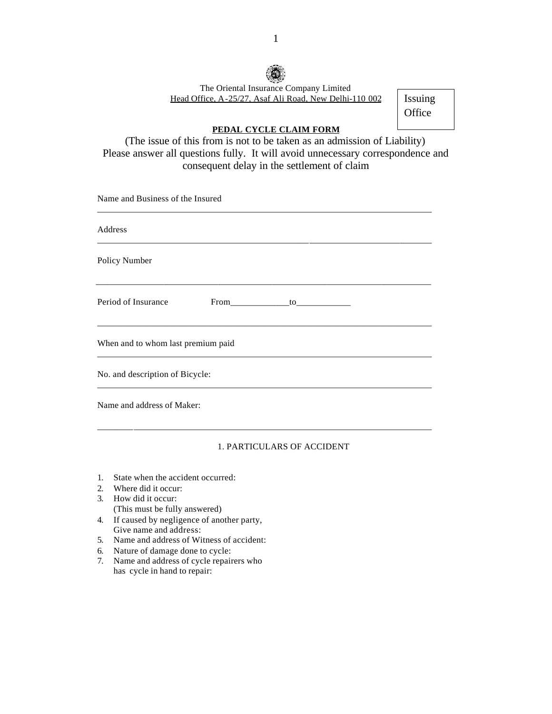

The Oriental Insurance Company Limited Head Office, A-25/27, Asaf Ali Road, New Delhi-110 002

Issuing **Office** 

## **PEDAL CYCLE CLAIM FORM**

(The issue of this from is not to be taken as an admission of Liability) Please answer all questions fully. It will avoid unnecessary correspondence and consequent delay in the settlement of claim

Name and Business of the Insured

| Address                            |                |  |  |
|------------------------------------|----------------|--|--|
| Policy Number                      |                |  |  |
| Period of Insurance                | $From$ to $to$ |  |  |
| When and to whom last premium paid |                |  |  |
| No. and description of Bicycle:    |                |  |  |
| Name and address of Maker:         |                |  |  |

## 1. PARTICULARS OF ACCIDENT

\_\_\_\_\_\_\_\_\_\_\_\_\_\_\_\_\_\_\_\_\_\_\_\_\_\_\_\_\_\_\_\_\_\_\_\_\_\_\_\_\_\_\_\_\_\_\_\_\_\_\_\_\_\_\_\_\_\_\_\_\_\_\_\_\_\_\_\_\_\_\_\_\_\_

- 1. State when the accident occurred:
- 2. Where did it occur:
- 3. How did it occur: (This must be fully answered)
- 4. If caused by negligence of another party, Give name and address:
- 5. Name and address of Witness of accident:
- 6. Nature of damage done to cycle:
- 7. Name and address of cycle repairers who has cycle in hand to repair: